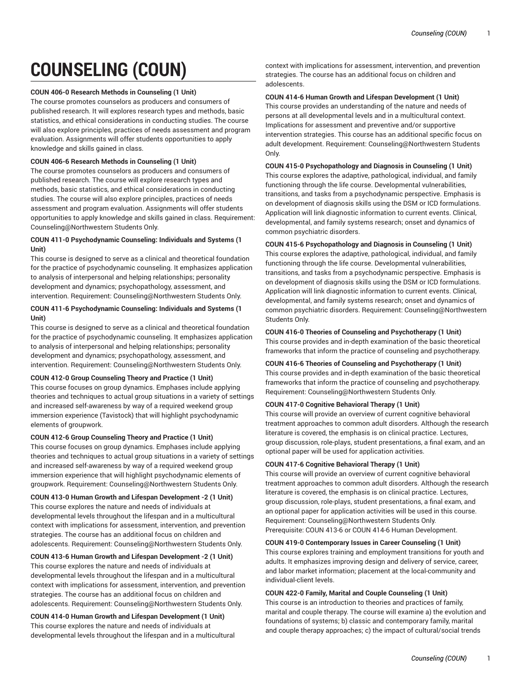# **COUNSELING (COUN)**

# **COUN 406-0 Research Methods in Counseling (1 Unit)**

The course promotes counselors as producers and consumers of published research. It will explores research types and methods, basic statistics, and ethical considerations in conducting studies. The course will also explore principles, practices of needs assessment and program evaluation. Assignments will offer students opportunities to apply knowledge and skills gained in class.

# **COUN 406-6 Research Methods in Counseling (1 Unit)**

The course promotes counselors as producers and consumers of published research. The course will explore research types and methods, basic statistics, and ethical considerations in conducting studies. The course will also explore principles, practices of needs assessment and program evaluation. Assignments will offer students opportunities to apply knowledge and skills gained in class. Requirement: Counseling@Northwestern Students Only.

# **COUN 411-0 Psychodynamic Counseling: Individuals and Systems (1 Unit)**

This course is designed to serve as a clinical and theoretical foundation for the practice of psychodynamic counseling. It emphasizes application to analysis of interpersonal and helping relationships; personality development and dynamics; psychopathology, assessment, and intervention. Requirement: Counseling@Northwestern Students Only.

# **COUN 411-6 Psychodynamic Counseling: Individuals and Systems (1 Unit)**

This course is designed to serve as a clinical and theoretical foundation for the practice of psychodynamic counseling. It emphasizes application to analysis of interpersonal and helping relationships; personality development and dynamics; psychopathology, assessment, and intervention. Requirement: Counseling@Northwestern Students Only.

# **COUN 412-0 Group Counseling Theory and Practice (1 Unit)**

This course focuses on group dynamics. Emphases include applying theories and techniques to actual group situations in a variety of settings and increased self-awareness by way of a required weekend group immersion experience (Tavistock) that will highlight psychodynamic elements of groupwork.

# **COUN 412-6 Group Counseling Theory and Practice (1 Unit)**

This course focuses on group dynamics. Emphases include applying theories and techniques to actual group situations in a variety of settings and increased self-awareness by way of a required weekend group immersion experience that will highlight psychodynamic elements of groupwork. Requirement: Counseling@Northwestern Students Only.

**COUN 413-0 Human Growth and Lifespan Development -2 (1 Unit)** This course explores the nature and needs of individuals at developmental levels throughout the lifespan and in a multicultural context with implications for assessment, intervention, and prevention strategies. The course has an additional focus on children and adolescents. Requirement: Counseling@Northwestern Students Only.

**COUN 413-6 Human Growth and Lifespan Development -2 (1 Unit)**

This course explores the nature and needs of individuals at developmental levels throughout the lifespan and in a multicultural context with implications for assessment, intervention, and prevention strategies. The course has an additional focus on children and adolescents. Requirement: Counseling@Northwestern Students Only.

**COUN 414-0 Human Growth and Lifespan Development (1 Unit)** This course explores the nature and needs of individuals at developmental levels throughout the lifespan and in a multicultural

context with implications for assessment, intervention, and prevention strategies. The course has an additional focus on children and adolescents.

**COUN 414-6 Human Growth and Lifespan Development (1 Unit)** This course provides an understanding of the nature and needs of persons at all developmental levels and in a multicultural context. Implications for assessment and preventive and/or supportive intervention strategies. This course has an additional specific focus on adult development. Requirement: Counseling@Northwestern Students Only.

# **COUN 415-0 Psychopathology and Diagnosis in Counseling (1 Unit)**

This course explores the adaptive, pathological, individual, and family functioning through the life course. Developmental vulnerabilities, transitions, and tasks from a psychodynamic perspective. Emphasis is on development of diagnosis skills using the DSM or ICD formulations. Application will link diagnostic information to current events. Clinical, developmental, and family systems research; onset and dynamics of common psychiatric disorders.

# **COUN 415-6 Psychopathology and Diagnosis in Counseling (1 Unit)**

This course explores the adaptive, pathological, individual, and family functioning through the life course. Developmental vulnerabilities, transitions, and tasks from a psychodynamic perspective. Emphasis is on development of diagnosis skills using the DSM or ICD formulations. Application will link diagnostic information to current events. Clinical, developmental, and family systems research; onset and dynamics of common psychiatric disorders. Requirement: Counseling@Northwestern Students Only.

# **COUN 416-0 Theories of Counseling and Psychotherapy (1 Unit)**

This course provides and in-depth examination of the basic theoretical frameworks that inform the practice of counseling and psychotherapy.

# **COUN 416-6 Theories of Counseling and Psychotherapy (1 Unit)**

This course provides and in-depth examination of the basic theoretical frameworks that inform the practice of counseling and psychotherapy. Requirement: Counseling@Northwestern Students Only.

# **COUN 417-0 Cognitive Behavioral Therapy (1 Unit)**

This course will provide an overview of current cognitive behavioral treatment approaches to common adult disorders. Although the research literature is covered, the emphasis is on clinical practice. Lectures, group discussion, role-plays, student presentations, a final exam, and an optional paper will be used for application activities.

# **COUN 417-6 Cognitive Behavioral Therapy (1 Unit)**

This course will provide an overview of current cognitive behavioral treatment approaches to common adult disorders. Although the research literature is covered, the emphasis is on clinical practice. Lectures, group discussion, role-plays, student presentations, a final exam, and an optional paper for application activities will be used in this course. Requirement: Counseling@Northwestern Students Only. Prerequisite: COUN 413-6 or COUN 414-6 Human Development.

## **COUN 419-0 Contemporary Issues in Career Counseling (1 Unit)**

This course explores training and employment transitions for youth and adults. It emphasizes improving design and delivery of service, career, and labor market information; placement at the local-community and individual-client levels.

## **COUN 422-0 Family, Marital and Couple Counseling (1 Unit)**

This course is an introduction to theories and practices of family, marital and couple therapy. The course will examine a) the evolution and foundations of systems; b) classic and contemporary family, marital and couple therapy approaches; c) the impact of cultural/social trends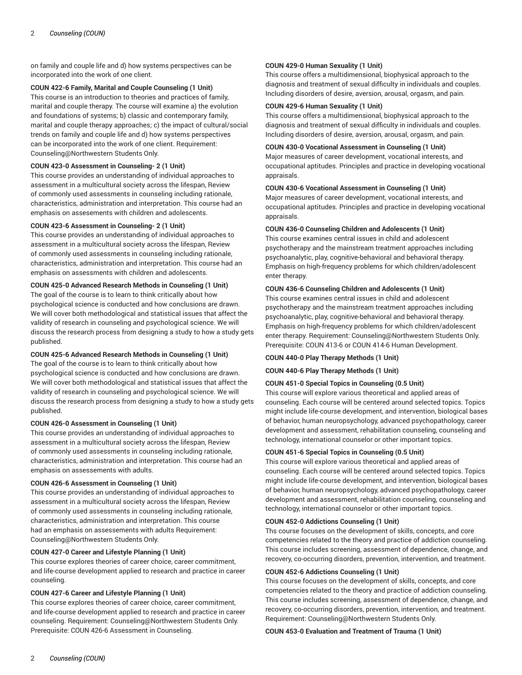on family and couple life and d) how systems perspectives can be incorporated into the work of one client.

# **COUN 422-6 Family, Marital and Couple Counseling (1 Unit)**

This course is an introduction to theories and practices of family, marital and couple therapy. The course will examine a) the evolution and foundations of systems; b) classic and contemporary family, marital and couple therapy approaches; c) the impact of cultural/social trends on family and couple life and d) how systems perspectives can be incorporated into the work of one client. Requirement: Counseling@Northwestern Students Only.

# **COUN 423-0 Assessment in Counseling- 2 (1 Unit)**

This course provides an understanding of individual approaches to assessment in a multicultural society across the lifespan, Review of commonly used assessments in counseling including rationale, characteristics, administration and interpretation. This course had an emphasis on assesements with children and adolescents.

# **COUN 423-6 Assessment in Counseling- 2 (1 Unit)**

This course provides an understanding of individual approaches to assessment in a multicultural society across the lifespan, Review of commonly used assessments in counseling including rationale, characteristics, administration and interpretation. This course had an emphasis on assessments with children and adolescents.

# **COUN 425-0 Advanced Research Methods in Counseling (1 Unit)**

The goal of the course is to learn to think critically about how psychological science is conducted and how conclusions are drawn. We will cover both methodological and statistical issues that affect the validity of research in counseling and psychological science. We will discuss the research process from designing a study to how a study gets published.

# **COUN 425-6 Advanced Research Methods in Counseling (1 Unit)**

The goal of the course is to learn to think critically about how psychological science is conducted and how conclusions are drawn. We will cover both methodological and statistical issues that affect the validity of research in counseling and psychological science. We will discuss the research process from designing a study to how a study gets published.

## **COUN 426-0 Assessment in Counseling (1 Unit)**

This course provides an understanding of individual approaches to assessment in a multicultural society across the lifespan, Review of commonly used assessments in counseling including rationale, characteristics, administration and interpretation. This course had an emphasis on assessements with adults.

## **COUN 426-6 Assessment in Counseling (1 Unit)**

This course provides an understanding of individual approaches to assessment in a multicultural society across the lifespan, Review of commonly used assessments in counseling including rationale, characteristics, administration and interpretation. This course had an emphasis on assessements with adults Requirement: Counseling@Northwestern Students Only.

# **COUN 427-0 Career and Lifestyle Planning (1 Unit)**

This course explores theories of career choice, career commitment, and life-course development applied to research and practice in career counseling.

## **COUN 427-6 Career and Lifestyle Planning (1 Unit)**

This course explores theories of career choice, career commitment, and life-course development applied to research and practice in career counseling. Requirement: Counseling@Northwestern Students Only. Prerequisite: COUN 426-6 Assessment in Counseling.

# **COUN 429-0 Human Sexuality (1 Unit)**

This course offers a multidimensional, biophysical approach to the diagnosis and treatment of sexual difficulty in individuals and couples. Including disorders of desire, aversion, arousal, orgasm, and pain.

# **COUN 429-6 Human Sexuality (1 Unit)**

This course offers a multidimensional, biophysical approach to the diagnosis and treatment of sexual difficulty in individuals and couples. Including disorders of desire, aversion, arousal, orgasm, and pain.

# **COUN 430-0 Vocational Assessment in Counseling (1 Unit)**

Major measures of career development, vocational interests, and occupational aptitudes. Principles and practice in developing vocational appraisals.

# **COUN 430-6 Vocational Assessment in Counseling (1 Unit)**

Major measures of career development, vocational interests, and occupational aptitudes. Principles and practice in developing vocational appraisals.

# **COUN 436-0 Counseling Children and Adolescents (1 Unit)**

This course examines central issues in child and adolescent psychotherapy and the mainstream treatment approaches including psychoanalytic, play, cognitive-behavioral and behavioral therapy. Emphasis on high-frequency problems for which children/adolescent enter therapy.

# **COUN 436-6 Counseling Children and Adolescents (1 Unit)**

This course examines central issues in child and adolescent psychotherapy and the mainstream treatment approaches including psychoanalytic, play, cognitive-behavioral and behavioral therapy. Emphasis on high-frequency problems for which children/adolescent enter therapy. Requirement: Counseling@Northwestern Students Only. Prerequisite: COUN 413-6 or COUN 414-6 Human Development.

## **COUN 440-0 Play Therapy Methods (1 Unit)**

## **COUN 440-6 Play Therapy Methods (1 Unit)**

# **COUN 451-0 Special Topics in Counseling (0.5 Unit)**

This course will explore various theoretical and applied areas of counseling. Each course will be centered around selected topics. Topics might include life-course development, and intervention, biological bases of behavior, human neuropsychology, advanced psychopathology, career development and assessment, rehabilitation counseling, counseling and technology, international counselor or other important topics.

## **COUN 451-6 Special Topics in Counseling (0.5 Unit)**

This course will explore various theoretical and applied areas of counseling. Each course will be centered around selected topics. Topics might include life-course development, and intervention, biological bases of behavior, human neuropsychology, advanced psychopathology, career development and assessment, rehabilitation counseling, counseling and technology, international counselor or other important topics.

## **COUN 452-0 Addictions Counseling (1 Unit)**

Ths course focuses on the development of skills, concepts, and core competencies related to the theory and practice of addiction counseling. This course includes screening, assessment of dependence, change, and recovery, co-occurring disorders, prevention, intervention, and treatment.

# **COUN 452-6 Addictions Counseling (1 Unit)**

This course focuses on the development of skills, concepts, and core competencies related to the theory and practice of addiction counseling. This course includes screening, assessment of dependence, change, and recovery, co-occurring disorders, prevention, intervention, and treatment. Requirement: Counseling@Northwestern Students Only.

## **COUN 453-0 Evaluation and Treatment of Trauma (1 Unit)**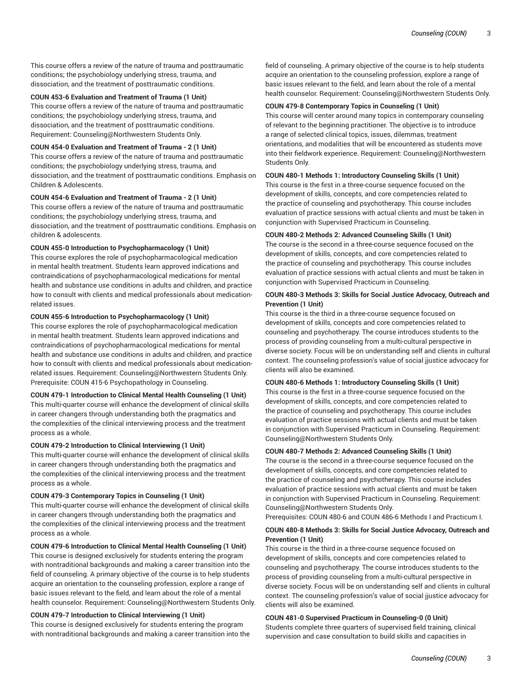This course offers a review of the nature of trauma and posttraumatic conditions; the psychobiology underlying stress, trauma, and dissociation, and the treatment of posttraumatic conditions.

# **COUN 453-6 Evaluation and Treatment of Trauma (1 Unit)**

This course offers a review of the nature of trauma and posttraumatic conditions; the psychobiology underlying stress, trauma, and dissociation, and the treatment of posttraumatic conditions. Requirement: Counseling@Northwestern Students Only.

# **COUN 454-0 Evaluation and Treatment of Trauma - 2 (1 Unit)**

This course offers a review of the nature of trauma and posttraumatic conditions; the psychobiology underlying stress, trauma, and dissociation, and the treatment of posttraumatic conditions. Emphasis on Children & Adolescents.

## **COUN 454-6 Evaluation and Treatment of Trauma - 2 (1 Unit)**

This course offers a review of the nature of trauma and posttraumatic conditions; the psychobiology underlying stress, trauma, and dissociation, and the treatment of posttraumatic conditions. Emphasis on children & adolescents.

# **COUN 455-0 Introduction to Psychopharmacology (1 Unit)**

This course explores the role of psychopharmacological medication in mental health treatment. Students learn approved indications and contraindications of psychopharmacological medications for mental health and substance use conditions in adults and children, and practice how to consult with clients and medical professionals about medicationrelated issues.

## **COUN 455-6 Introduction to Psychopharmacology (1 Unit)**

This course explores the role of psychopharmacological medication in mental health treatment. Students learn approved indications and contraindications of psychopharmacological medications for mental health and substance use conditions in adults and children, and practice how to consult with clients and medical professionals about medicationrelated issues. Requirement: Counseling@Northwestern Students Only. Prerequisite: COUN 415-6 Psychopathology in Counseling.

## **COUN 479-1 Introduction to Clinical Mental Health Counseling (1 Unit)**

This multi-quarter course will enhance the development of clinical skills in career changers through understanding both the pragmatics and the complexities of the clinical interviewing process and the treatment process as a whole.

# **COUN 479-2 Introduction to Clinical Interviewing (1 Unit)**

This multi-quarter course will enhance the development of clinical skills in career changers through understanding both the pragmatics and the complexities of the clinical interviewing process and the treatment process as a whole.

# **COUN 479-3 Contemporary Topics in Counseling (1 Unit)**

This multi-quarter course will enhance the development of clinical skills in career changers through understanding both the pragmatics and the complexities of the clinical interviewing process and the treatment process as a whole.

# **COUN 479-6 Introduction to Clinical Mental Health Counseling (1 Unit)**

This course is designed exclusively for students entering the program with nontraditional backgrounds and making a career transition into the field of counseling. A primary objective of the course is to help students acquire an orientation to the counseling profession, explore a range of basic issues relevant to the field, and learn about the role of a mental health counselor. Requirement: Counseling@Northwestern Students Only.

# **COUN 479-7 Introduction to Clinical Interviewing (1 Unit)**

This course is designed exclusively for students entering the program with nontraditional backgrounds and making a career transition into the

field of counseling. A primary objective of the course is to help students acquire an orientation to the counseling profession, explore a range of basic issues relevant to the field, and learn about the role of a mental health counselor. Requirement: Counseling@Northwestern Students Only.

# **COUN 479-8 Contemporary Topics in Counseling (1 Unit)**

This course will center around many topics in contemporary counseling of relevant to the beginning practitioner. The objective is to introduce a range of selected clinical topics, issues, dilemmas, treatment orientations, and modalities that will be encountered as students move into their fieldwork experience. Requirement: Counseling@Northwestern Students Only.

# **COUN 480-1 Methods 1: Introductory Counseling Skills (1 Unit)**

This course is the first in a three-course sequence focused on the development of skills, concepts, and core competencies related to the practice of counseling and psychotherapy. This course includes evaluation of practice sessions with actual clients and must be taken in conjunction with Supervised Practicum in Counseling.

## **COUN 480-2 Methods 2: Advanced Counseling Skills (1 Unit)**

The course is the second in a three-course sequence focused on the development of skills, concepts, and core competencies related to the practice of counseling and psychotherapy. This course includes evaluation of practice sessions with actual clients and must be taken in conjunction with Supervised Practicum in Counseling.

# **COUN 480-3 Methods 3: Skills for Social Justice Advocacy, Outreach and Prevention (1 Unit)**

This course is the third in a three-course sequence focused on development of skills, concepts and core competencies related to counseling and psychotherapy. The course introduces students to the process of providing counseling from a multi-cultural perspective in diverse society. Focus will be on understanding self and clients in cultural context. The counseling profession's value of social jjustice advocacy for clients will also be examined.

## **COUN 480-6 Methods 1: Introductory Counseling Skills (1 Unit)**

This course is the first in a three-course sequence focused on the development of skills, concepts, and core competencies related to the practice of counseling and psychotherapy. This course includes evaluation of practice sessions with actual clients and must be taken in conjunction with Supervised Practicum in Counseling. Requirement: Counseling@Northwestern Students Only.

## **COUN 480-7 Methods 2: Advanced Counseling Skills (1 Unit)**

The course is the second in a three-course sequence focused on the development of skills, concepts, and core competencies related to the practice of counseling and psychotherapy. This course includes evaluation of practice sessions with actual clients and must be taken in conjunction with Supervised Practicum in Counseling. Requirement: Counseling@Northwestern Students Only.

Prerequisites: COUN 480-6 and COUN 486-6 Methods I and Practicum I.

# **COUN 480-8 Methods 3: Skills for Social Justice Advocacy, Outreach and Prevention (1 Unit)**

This course is the third in a three-course sequence focused on development of skills, concepts and core competencies related to counseling and psychotherapy. The course introduces students to the process of providing counseling from a multi-cultural perspective in diverse society. Focus will be on understanding self and clients in cultural context. The counseling profession's value of social jjustice advocacy for clients will also be examined.

# **COUN 481-0 Supervised Practicum in Counseling-0 (0 Unit)**

Students complete three quarters of supervised field training, clinical supervision and case consultation to build skills and capacities in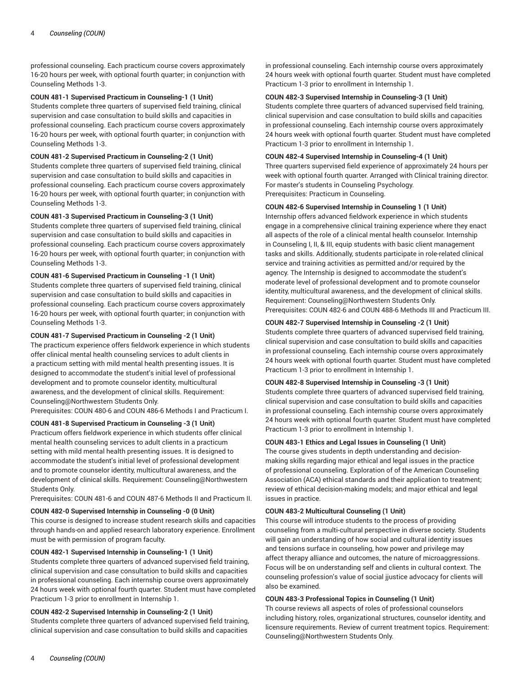professional counseling. Each practicum course covers approximately 16-20 hours per week, with optional fourth quarter; in conjunction with Counseling Methods 1-3.

# **COUN 481-1 Supervised Practicum in Counseling-1 (1 Unit)**

Students complete three quarters of supervised field training, clinical supervision and case consultation to build skills and capacities in professional counseling. Each practicum course covers approximately 16-20 hours per week, with optional fourth quarter; in conjunction with Counseling Methods 1-3.

# **COUN 481-2 Supervised Practicum in Counseling-2 (1 Unit)**

Students complete three quarters of supervised field training, clinical supervision and case consultation to build skills and capacities in professional counseling. Each practicum course covers approximately 16-20 hours per week, with optional fourth quarter; in conjunction with Counseling Methods 1-3.

# **COUN 481-3 Supervised Practicum in Counseling-3 (1 Unit)**

Students complete three quarters of supervised field training, clinical supervision and case consultation to build skills and capacities in professional counseling. Each practicum course covers approximately 16-20 hours per week, with optional fourth quarter; in conjunction with Counseling Methods 1-3.

# **COUN 481-6 Supervised Practicum in Counseling -1 (1 Unit)**

Students complete three quarters of supervised field training, clinical supervision and case consultation to build skills and capacities in professional counseling. Each practicum course covers approximately 16-20 hours per week, with optional fourth quarter; in conjunction with Counseling Methods 1-3.

# **COUN 481-7 Supervised Practicum in Counseling -2 (1 Unit)**

The practicum experience offers fieldwork experience in which students offer clinical mental health counseling services to adult clients in a practicum setting with mild mental health presenting issues. It is designed to accommodate the student's initial level of professional development and to promote counselor identity, multicultural awareness, and the development of clinical skills. Requirement: Counseling@Northwestern Students Only.

Prerequisites: COUN 480-6 and COUN 486-6 Methods I and Practicum I.

**COUN 481-8 Supervised Practicum in Counseling -3 (1 Unit)** Practicum offers fieldwork experience in which students offer clinical mental health counseling services to adult clients in a practicum setting with mild mental health presenting issues. It is designed to accommodate the student's initial level of professional development and to promote counselor identity, multicultural awareness, and the development of clinical skills. Requirement: Counseling@Northwestern Students Only.

Prerequisites: COUN 481-6 and COUN 487-6 Methods II and Practicum II.

# **COUN 482-0 Supervised Internship in Counseling -0 (0 Unit)**

This course is designed to increase student research skills and capacities through hands-on and applied research laboratory experience. Enrollment must be with permission of program faculty.

# **COUN 482-1 Supervised Internship in Counseling-1 (1 Unit)**

Students complete three quarters of advanced supervised field training, clinical supervision and case consultation to build skills and capacities in professional counseling. Each internship course overs approximately 24 hours week with optional fourth quarter. Student must have completed Practicum 1-3 prior to enrollment in Internship 1.

## **COUN 482-2 Supervised Internship in Counseling-2 (1 Unit)**

Students complete three quarters of advanced supervised field training, clinical supervision and case consultation to build skills and capacities

in professional counseling. Each internship course overs approximately 24 hours week with optional fourth quarter. Student must have completed Practicum 1-3 prior to enrollment in Internship 1.

# **COUN 482-3 Supervised Internship in Counseling-3 (1 Unit)**

Students complete three quarters of advanced supervised field training, clinical supervision and case consultation to build skills and capacities in professional counseling. Each internship course overs approximately 24 hours week with optional fourth quarter. Student must have completed Practicum 1-3 prior to enrollment in Internship 1.

#### **COUN 482-4 Supervised Internship in Counseling-4 (1 Unit)**

Three quarters supervised field experience of approximately 24 hours per week with optional fourth quarter. Arranged with Clinical training director. For master's students in Counseling Psychology. Prerequisites: Practicum in Counseling.

**COUN 482-6 Supervised Internship in Counseling 1 (1 Unit)**

Internship offers advanced fieldwork experience in which students engage in a comprehensive clinical training experience where they enact all aspects of the role of a clinical mental health counselor. Internship in Counseling I, II, & III, equip students with basic client management tasks and skills. Additionally, students participate in role-related clinical service and training activities as permitted and/or required by the agency. The Internship is designed to accommodate the student's moderate level of professional development and to promote counselor identity, multicultural awareness, and the development of clinical skills. Requirement: Counseling@Northwestern Students Only. Prerequisites: COUN 482-6 and COUN 488-6 Methods III and Practicum III.

#### **COUN 482-7 Supervised Internship in Counseling -2 (1 Unit)**

Students complete three quarters of advanced supervised field training, clinical supervision and case consultation to build skills and capacities in professional counseling. Each internship course overs approximately 24 hours week with optional fourth quarter. Student must have completed Practicum 1-3 prior to enrollment in Internship 1.

#### **COUN 482-8 Supervised Internship in Counseling -3 (1 Unit)**

Students complete three quarters of advanced supervised field training, clinical supervision and case consultation to build skills and capacities in professional counseling. Each internship course overs approximately 24 hours week with optional fourth quarter. Student must have completed Practicum 1-3 prior to enrollment in Internship 1.

# **COUN 483-1 Ethics and Legal Issues in Counseling (1 Unit)**

The course gives students in depth understanding and decisionmaking skills regarding major ethical and legal issues in the practice of professional counseling. Exploration of of the American Counseling Association (ACA) ethical standards and their application to treatment; review of ethical decision-making models; and major ethical and legal issues in practice.

# **COUN 483-2 Multicultural Counseling (1 Unit)**

This course will introduce students to the process of providing counseling from a multi-cultural perspective in diverse society. Students will gain an understanding of how social and cultural identity issues and tensions surface in counseling, how power and privilege may affect therapy alliance and outcomes, the nature of microaggressions. Focus will be on understanding self and clients in cultural context. The counseling profession's value of social jjustice advocacy for clients will also be examined.

# **COUN 483-3 Professional Topics in Counseling (1 Unit)**

Th course reviews all aspects of roles of professional counselors including history, roles, organizational structures, counselor identity, and licensure requirements. Review of current treatment topics. Requirement: Counseling@Northwestern Students Only.